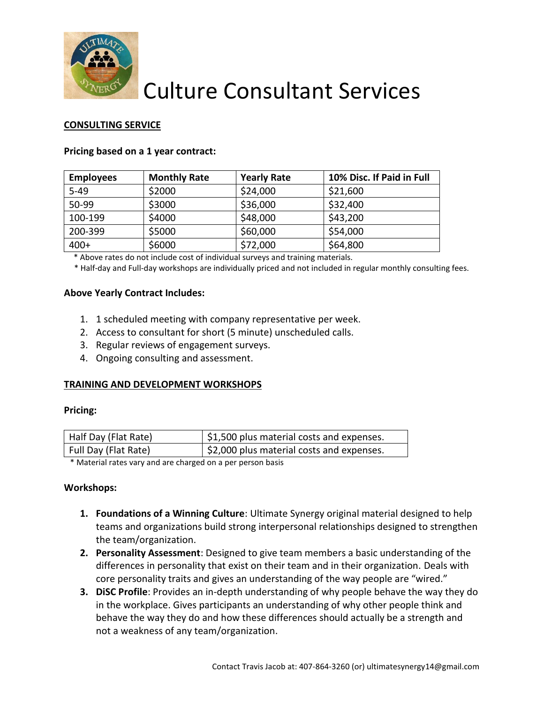

# Culture Consultant Services

## **CONSULTING SERVICE**

### **Pricing based on a 1 year contract:**

| <b>Employees</b> | <b>Monthly Rate</b> | <b>Yearly Rate</b> | 10% Disc. If Paid in Full |
|------------------|---------------------|--------------------|---------------------------|
| $5 - 49$         | \$2000              | \$24,000           | \$21,600                  |
| 50-99            | \$3000              | \$36,000           | \$32,400                  |
| 100-199          | \$4000              | \$48,000           | \$43,200                  |
| 200-399          | \$5000              | \$60,000           | \$54,000                  |
| $400+$           | \$6000              | \$72,000           | \$64,800                  |

\* Above rates do not include cost of individual surveys and training materials.

\* Half-day and Full-day workshops are individually priced and not included in regular monthly consulting fees.

#### **Above Yearly Contract Includes:**

- 1. 1 scheduled meeting with company representative per week.
- 2. Access to consultant for short (5 minute) unscheduled calls.
- 3. Regular reviews of engagement surveys.
- 4. Ongoing consulting and assessment.

### **TRAINING AND DEVELOPMENT WORKSHOPS**

#### **Pricing:**

|                                                                                 | $\frac{1}{2}$ \$1,500 plus material costs and expenses. |
|---------------------------------------------------------------------------------|---------------------------------------------------------|
| $\frac{1}{2}$ \$2,000 plus material costs and expenses.<br>Full Day (Flat Rate) |                                                         |

\* Material rates vary and are charged on a per person basis

#### **Workshops:**

- **1. Foundations of a Winning Culture**: Ultimate Synergy original material designed to help teams and organizations build strong interpersonal relationships designed to strengthen the team/organization.
- **2. Personality Assessment**: Designed to give team members a basic understanding of the differences in personality that exist on their team and in their organization. Deals with core personality traits and gives an understanding of the way people are "wired."
- **3. DiSC Profile**: Provides an in-depth understanding of why people behave the way they do in the workplace. Gives participants an understanding of why other people think and behave the way they do and how these differences should actually be a strength and not a weakness of any team/organization.